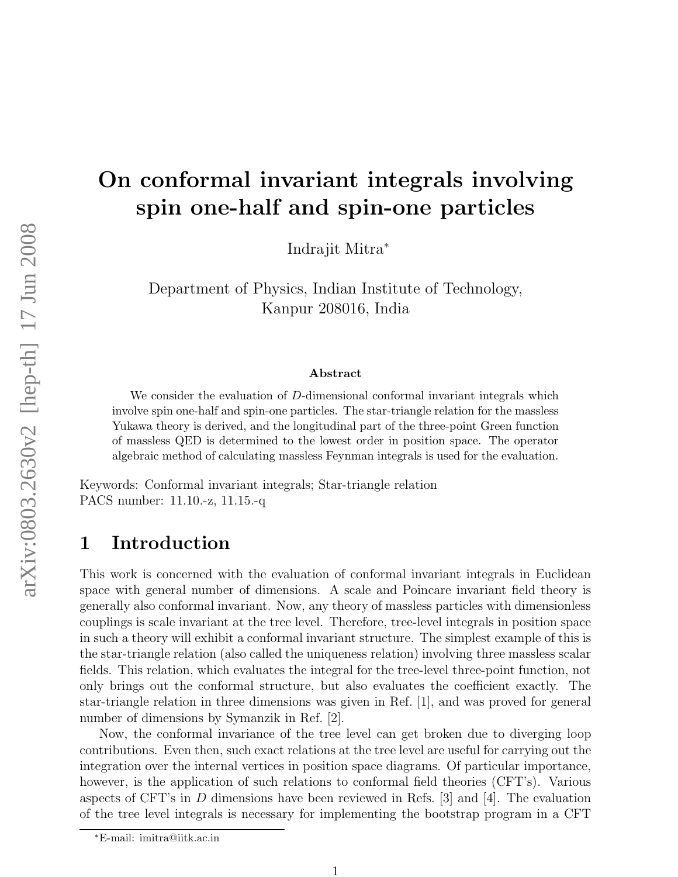# On conformal invariant integrals involving spin one-half and spin-one particles

Indrajit Mitra<sup>∗</sup>

Department of Physics, Indian Institute of Technology, Kanpur 208016, India

#### Abstract

We consider the evaluation of D-dimensional conformal invariant integrals which involve spin one-half and spin-one particles. The star-triangle relation for the massless Yukawa theory is derived, and the longitudinal part of the three-point Green function of massless QED is determined to the lowest order in position space. The operator algebraic method of calculating massless Feynman integrals is used for the evaluation.

Keywords: Conformal invariant integrals; Star-triangle relation PACS number: 11.10.-z, 11.15.-q

## 1 Introduction

This work is concerned with the evaluation of conformal invariant integrals in Euclidean space with general number of dimensions. A scale and Poincare invariant field theory is generally also conformal invariant. Now, any theory of massless particles with dimensionless couplings is scale invariant at the tree level. Therefore, tree-level integrals in position space in such a theory will exhibit a conformal invariant structure. The simplest example of this is the star-triangle relation (also called the uniqueness relation) involving three massless scalar fields. This relation, which evaluates the integral for the tree-level three-point function, not only brings out the conformal structure, but also evaluates the coefficient exactly. The star-triangle relation in three dimensions was given in Ref. [1], and was proved for general number of dimensions by Symanzik in Ref. [2].

Now, the conformal invariance of the tree level can get broken due to diverging loop contributions. Even then, such exact relations at the tree level are useful for carrying out the integration over the internal vertices in position space diagrams. Of particular importance, however, is the application of such relations to conformal field theories (CFT's). Various aspects of CFT's in D dimensions have been reviewed in Refs. [3] and [4]. The evaluation of the tree level integrals is necessary for implementing the bootstrap program in a CFT

<sup>∗</sup>E-mail: imitra@iitk.ac.in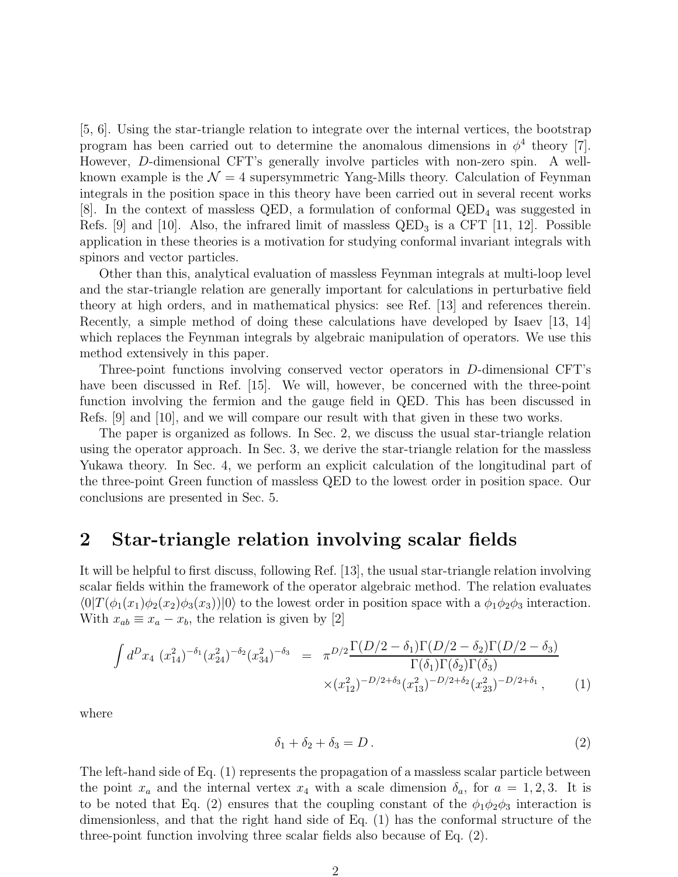[5, 6]. Using the star-triangle relation to integrate over the internal vertices, the bootstrap program has been carried out to determine the anomalous dimensions in  $\phi^4$  theory [7]. However, D-dimensional CFT's generally involve particles with non-zero spin. A wellknown example is the  $\mathcal{N} = 4$  supersymmetric Yang-Mills theory. Calculation of Feynman integrals in the position space in this theory have been carried out in several recent works [8]. In the context of massless QED, a formulation of conformal QED<sup>4</sup> was suggested in Refs. [9] and [10]. Also, the infrared limit of massless  $QED_3$  is a CFT [11, 12]. Possible application in these theories is a motivation for studying conformal invariant integrals with spinors and vector particles.

Other than this, analytical evaluation of massless Feynman integrals at multi-loop level and the star-triangle relation are generally important for calculations in perturbative field theory at high orders, and in mathematical physics: see Ref. [13] and references therein. Recently, a simple method of doing these calculations have developed by Isaev [13, 14] which replaces the Feynman integrals by algebraic manipulation of operators. We use this method extensively in this paper.

Three-point functions involving conserved vector operators in D-dimensional CFT's have been discussed in Ref. [15]. We will, however, be concerned with the three-point function involving the fermion and the gauge field in QED. This has been discussed in Refs. [9] and [10], and we will compare our result with that given in these two works.

The paper is organized as follows. In Sec. 2, we discuss the usual star-triangle relation using the operator approach. In Sec. 3, we derive the star-triangle relation for the massless Yukawa theory. In Sec. 4, we perform an explicit calculation of the longitudinal part of the three-point Green function of massless QED to the lowest order in position space. Our conclusions are presented in Sec. 5.

#### 2 Star-triangle relation involving scalar fields

It will be helpful to first discuss, following Ref. [13], the usual star-triangle relation involving scalar fields within the framework of the operator algebraic method. The relation evaluates  $\langle 0|T(\phi_1(x_1)\phi_2(x_2)\phi_3(x_3))|0\rangle$  to the lowest order in position space with a  $\phi_1\phi_2\phi_3$  interaction. With  $x_{ab} \equiv x_a - x_b$ , the relation is given by [2]

$$
\int d^D x_4 \ (x_{14}^2)^{-\delta_1} (x_{24}^2)^{-\delta_2} (x_{34}^2)^{-\delta_3} = \pi^{D/2} \frac{\Gamma(D/2 - \delta_1) \Gamma(D/2 - \delta_2) \Gamma(D/2 - \delta_3)}{\Gamma(\delta_1) \Gamma(\delta_2) \Gamma(\delta_3)} \times (x_{12}^2)^{-D/2 + \delta_3} (x_{13}^2)^{-D/2 + \delta_2} (x_{23}^2)^{-D/2 + \delta_1}, \tag{1}
$$

where

$$
\delta_1 + \delta_2 + \delta_3 = D. \tag{2}
$$

The left-hand side of Eq. (1) represents the propagation of a massless scalar particle between the point  $x_a$  and the internal vertex  $x_4$  with a scale dimension  $\delta_a$ , for  $a = 1, 2, 3$ . It is to be noted that Eq. (2) ensures that the coupling constant of the  $\phi_1\phi_2\phi_3$  interaction is dimensionless, and that the right hand side of Eq. (1) has the conformal structure of the three-point function involving three scalar fields also because of Eq. (2).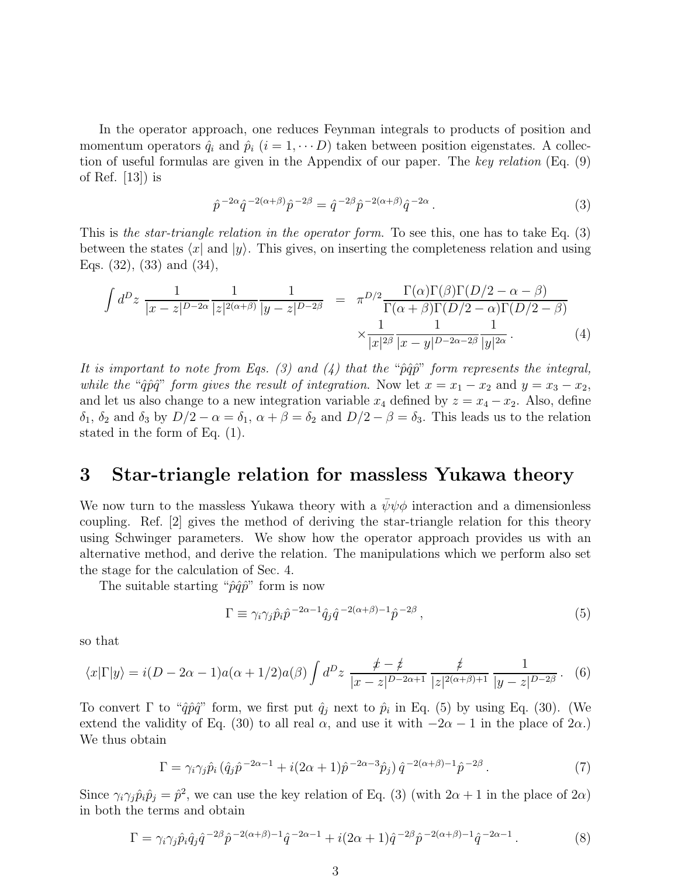In the operator approach, one reduces Feynman integrals to products of position and momentum operators  $\hat{q}_i$  and  $\hat{p}_i$   $(i = 1, \dots, D)$  taken between position eigenstates. A collection of useful formulas are given in the Appendix of our paper. The key relation (Eq. (9) of Ref.  $|13|$  is

$$
\hat{p}^{-2\alpha}\hat{q}^{-2(\alpha+\beta)}\hat{p}^{-2\beta} = \hat{q}^{-2\beta}\hat{p}^{-2(\alpha+\beta)}\hat{q}^{-2\alpha}.
$$
\n(3)

This is the star-triangle relation in the operator form. To see this, one has to take Eq. (3) between the states  $\langle x|$  and  $|y\rangle$ . This gives, on inserting the completeness relation and using Eqs. (32), (33) and (34),

$$
\int d^D z \frac{1}{|x-z|^{D-2\alpha}} \frac{1}{|z|^{2(\alpha+\beta)}} \frac{1}{|y-z|^{D-2\beta}} = \pi^{D/2} \frac{\Gamma(\alpha)\Gamma(\beta)\Gamma(D/2-\alpha-\beta)}{\Gamma(\alpha+\beta)\Gamma(D/2-\alpha)\Gamma(D/2-\beta)} \times \frac{1}{|x|^{2\beta}} \frac{1}{|x-y|^{D-2\alpha-2\beta}} \frac{1}{|y|^{2\alpha}}.
$$
\n(4)

It is important to note from Eqs. (3) and (4) that the " $\hat{p}\hat{q}\hat{p}$ " form represents the integral, while the " $\hat{q}\hat{p}\hat{q}$ " form gives the result of integration. Now let  $x = x_1 - x_2$  and  $y = x_3 - x_2$ , and let us also change to a new integration variable  $x_4$  defined by  $z = x_4 - x_2$ . Also, define  $\delta_1$ ,  $\delta_2$  and  $\delta_3$  by  $D/2 - \alpha = \delta_1$ ,  $\alpha + \beta = \delta_2$  and  $D/2 - \beta = \delta_3$ . This leads us to the relation stated in the form of Eq. (1).

#### 3 Star-triangle relation for massless Yukawa theory

We now turn to the massless Yukawa theory with a  $\bar{\psi}\psi\phi$  interaction and a dimensionless coupling. Ref. [2] gives the method of deriving the star-triangle relation for this theory using Schwinger parameters. We show how the operator approach provides us with an alternative method, and derive the relation. The manipulations which we perform also set the stage for the calculation of Sec. 4.

The suitable starting " $\hat{p}\hat{q}\hat{p}$ " form is now

$$
\Gamma \equiv \gamma_i \gamma_j \hat{p}_i \hat{p}^{-2\alpha - 1} \hat{q}_j \hat{q}^{-2(\alpha + \beta) - 1} \hat{p}^{-2\beta}, \qquad (5)
$$

so that

$$
\langle x|\Gamma|y\rangle = i(D - 2\alpha - 1)a(\alpha + 1/2)a(\beta) \int d^D z \frac{\not x - \not z}{|x - z|^{D - 2\alpha + 1}} \frac{\not z}{|z|^{2(\alpha + \beta) + 1}} \frac{1}{|y - z|^{D - 2\beta}}.
$$
 (6)

To convert  $\Gamma$  to " $\hat{q}\hat{p}\hat{q}$ " form, we first put  $\hat{q}_j$  next to  $\hat{p}_i$  in Eq. (5) by using Eq. (30). (We extend the validity of Eq. (30) to all real  $\alpha$ , and use it with  $-2\alpha - 1$  in the place of  $2\alpha$ .) We thus obtain

$$
\Gamma = \gamma_i \gamma_j \hat{p}_i \left( \hat{q}_j \hat{p}^{-2\alpha - 1} + i(2\alpha + 1)\hat{p}^{-2\alpha - 3}\hat{p}_j \right) \hat{q}^{-2(\alpha + \beta) - 1} \hat{p}^{-2\beta} . \tag{7}
$$

Since  $\gamma_i \gamma_j \hat{p}_i \hat{p}_j = \hat{p}^2$ , we can use the key relation of Eq. (3) (with  $2\alpha + 1$  in the place of  $2\alpha$ ) in both the terms and obtain

$$
\Gamma = \gamma_i \gamma_j \hat{p}_i \hat{q}_j \hat{q}^{-2\beta} \hat{p}^{-2(\alpha+\beta)-1} \hat{q}^{-2\alpha-1} + i(2\alpha+1)\hat{q}^{-2\beta} \hat{p}^{-2(\alpha+\beta)-1} \hat{q}^{-2\alpha-1} . \tag{8}
$$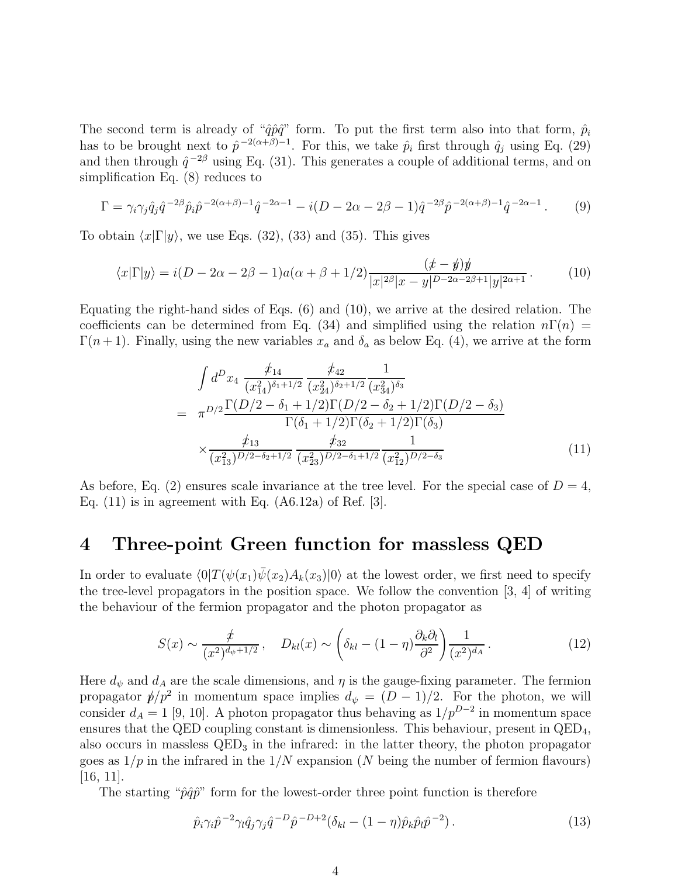The second term is already of " $\hat{q}\hat{p}\hat{q}$ " form. To put the first term also into that form,  $\hat{p}_i$ has to be brought next to  $\hat{p}^{-2(\alpha+\beta)-1}$ . For this, we take  $\hat{p}_i$  first through  $\hat{q}_j$  using Eq. (29) and then through  $\hat{q}^{-2\beta}$  using Eq. (31). This generates a couple of additional terms, and on simplification Eq. (8) reduces to

$$
\Gamma = \gamma_i \gamma_j \hat{q}_j \hat{q}^{-2\beta} \hat{p}_i \hat{p}^{-2(\alpha+\beta)-1} \hat{q}^{-2\alpha-1} - i(D - 2\alpha - 2\beta - 1)\hat{q}^{-2\beta} \hat{p}^{-2(\alpha+\beta)-1} \hat{q}^{-2\alpha-1}.
$$
 (9)

To obtain  $\langle x|\Gamma|y\rangle$ , we use Eqs. (32), (33) and (35). This gives

$$
\langle x|\Gamma|y\rangle = i(D - 2\alpha - 2\beta - 1)a(\alpha + \beta + 1/2)\frac{(x - \psi)y}{|x|^{2\beta}|x - y|^{D - 2\alpha - 2\beta + 1}|y|^{2\alpha + 1}}.
$$
 (10)

Equating the right-hand sides of Eqs. (6) and (10), we arrive at the desired relation. The coefficients can be determined from Eq. (34) and simplified using the relation  $n\Gamma(n)$  =  $\Gamma(n+1)$ . Finally, using the new variables  $x_a$  and  $\delta_a$  as below Eq. (4), we arrive at the form

$$
\int d^D x_4 \frac{\dot{\mathcal{F}}_{14}}{(x_{14}^2)^{\delta_1+1/2}} \frac{\dot{\mathcal{F}}_{42}}{(x_{24}^2)^{\delta_2+1/2}} \frac{1}{(x_{34}^2)^{\delta_3}} \n= \pi^{D/2} \frac{\Gamma(D/2 - \delta_1 + 1/2) \Gamma(D/2 - \delta_2 + 1/2) \Gamma(D/2 - \delta_3)}{\Gamma(\delta_1 + 1/2) \Gamma(\delta_2 + 1/2) \Gamma(\delta_3)} \n\times \frac{\dot{\mathcal{F}}_{13}}{(x_{13}^2)^{D/2 - \delta_2 + 1/2}} \frac{\dot{\mathcal{F}}_{32}}{(x_{23}^2)^{D/2 - \delta_1 + 1/2}} \frac{1}{(x_{12}^2)^{D/2 - \delta_3}}
$$
\n(11)

As before, Eq. (2) ensures scale invariance at the tree level. For the special case of  $D = 4$ , Eq.  $(11)$  is in agreement with Eq.  $(A6.12a)$  of Ref. [3].

#### 4 Three-point Green function for massless QED

In order to evaluate  $\langle 0|T(\psi(x_1)\psi(x_2)A_k(x_3)|0\rangle)$  at the lowest order, we first need to specify the tree-level propagators in the position space. We follow the convention [3, 4] of writing the behaviour of the fermion propagator and the photon propagator as

$$
S(x) \sim \frac{\not x}{(x^2)^{d_{\psi}+1/2}}, \quad D_{kl}(x) \sim \left(\delta_{kl} - (1-\eta)\frac{\partial_k \partial_l}{\partial^2}\right) \frac{1}{(x^2)^{d_A}}.\tag{12}
$$

Here  $d_{\psi}$  and  $d_{A}$  are the scale dimensions, and  $\eta$  is the gauge-fixing parameter. The fermion propagator  $p/p^2$  in momentum space implies  $d_p = (D-1)/2$ . For the photon, we will consider  $d_A = 1$  [9, 10]. A photon propagator thus behaving as  $1/p^{D-2}$  in momentum space ensures that the QED coupling constant is dimensionless. This behaviour, present in  $\text{QED}_4$ , also occurs in massless QED<sup>3</sup> in the infrared: in the latter theory, the photon propagator goes as  $1/p$  in the infrared in the  $1/N$  expansion (N being the number of fermion flavours) [16, 11].

The starting " $\hat{p}\hat{q}\hat{p}$ " form for the lowest-order three point function is therefore

$$
\hat{p}_i \gamma_i \hat{p}^{-2} \gamma_l \hat{q}_j \gamma_j \hat{q}^{-D} \hat{p}^{-D+2} (\delta_{kl} - (1-\eta) \hat{p}_k \hat{p}_l \hat{p}^{-2}). \tag{13}
$$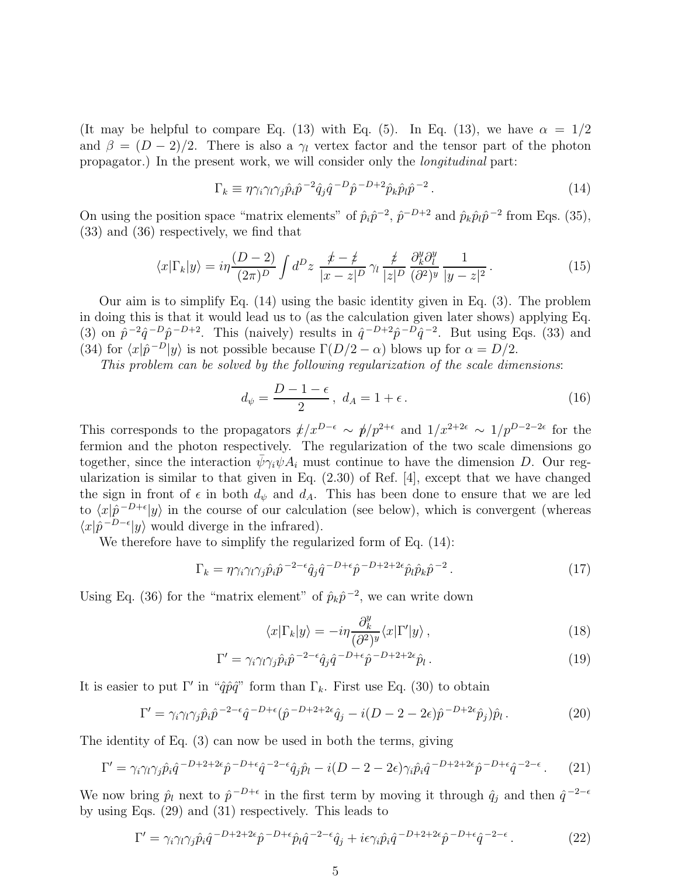(It may be helpful to compare Eq. (13) with Eq. (5). In Eq. (13), we have  $\alpha = 1/2$ and  $\beta = (D-2)/2$ . There is also a  $\gamma_l$  vertex factor and the tensor part of the photon propagator.) In the present work, we will consider only the longitudinal part:

$$
\Gamma_k \equiv \eta \gamma_i \gamma_l \gamma_j \hat{p}_i \hat{p}^{-2} \hat{q}_j \hat{q}^{-D} \hat{p}^{-D+2} \hat{p}_k \hat{p}_l \hat{p}^{-2} . \tag{14}
$$

On using the position space "matrix elements" of  $\hat{p}_i \hat{p}^{-2}$ ,  $\hat{p}^{-D+2}$  and  $\hat{p}_k \hat{p}_l \hat{p}^{-2}$  from Eqs. (35), (33) and (36) respectively, we find that

$$
\langle x|\Gamma_k|y\rangle = i\eta \frac{(D-2)}{(2\pi)^D} \int d^D z \, \frac{t-\not z}{|x-z|^D} \gamma_l \, \frac{\not z}{|z|^D} \frac{\partial^y_k \partial^y_l}{(\partial^2)^y} \frac{1}{|y-z|^2} \,. \tag{15}
$$

Our aim is to simplify Eq. (14) using the basic identity given in Eq. (3). The problem in doing this is that it would lead us to (as the calculation given later shows) applying Eq. (3) on  $\tilde{p}^{-2}\hat{q}^{-D}\hat{p}^{-D+2}$ . This (naively) results in  $\hat{q}^{-D+2}\hat{p}^{-D}\hat{q}^{-2}$ . But using Eqs. (33) and (34) for  $\langle x|\hat{p}^{-D}|y\rangle$  is not possible because  $\Gamma(D/2 - \alpha)$  blows up for  $\alpha = D/2$ .

This problem can be solved by the following regularization of the scale dimensions:

$$
d_{\psi} = \frac{D - 1 - \epsilon}{2}, \ d_A = 1 + \epsilon. \tag{16}
$$

This corresponds to the propagators  $\rlap{/}x^{D-\epsilon} \sim \rlap{/}y/p^{2+\epsilon}$  and  $1/x^{2+2\epsilon} \sim 1/p^{D-2-2\epsilon}$  for the fermion and the photon respectively. The regularization of the two scale dimensions go together, since the interaction  $\bar{\psi} \gamma_i \psi A_i$  must continue to have the dimension D. Our regularization is similar to that given in Eq. (2.30) of Ref. [4], except that we have changed the sign in front of  $\epsilon$  in both  $d_{\psi}$  and  $d_{A}$ . This has been done to ensure that we are led to  $\langle x|\hat{p}^{-D+\epsilon}|y\rangle$  in the course of our calculation (see below), which is convergent (whereas  $\langle x|\hat{p}^{-D-\epsilon}|y\rangle$  would diverge in the infrared).

We therefore have to simplify the regularized form of Eq. (14):

$$
\Gamma_k = \eta \gamma_i \gamma_l \gamma_j \hat{p}_i \hat{p}^{-2-\epsilon} \hat{q}_j \hat{q}^{-D+\epsilon} \hat{p}^{-D+2+2\epsilon} \hat{p}_l \hat{p}_k \hat{p}^{-2}.
$$
\n(17)

Using Eq. (36) for the "matrix element" of  $\hat{p}_k \hat{p}^{-2}$ , we can write down

$$
\langle x|\Gamma_k|y\rangle = -i\eta \frac{\partial_k^y}{(\partial^2)^y} \langle x|\Gamma'|y\rangle ,\qquad(18)
$$

$$
\Gamma' = \gamma_i \gamma_l \gamma_j \hat{p}_i \hat{p}^{-2-\epsilon} \hat{q}_j \hat{q}^{-D+\epsilon} \hat{p}^{-D+2+2\epsilon} \hat{p}_l. \tag{19}
$$

It is easier to put  $\Gamma'$  in " $\hat{q}\hat{p}\hat{q}$ " form than  $\Gamma_k$ . First use Eq. (30) to obtain

$$
\Gamma' = \gamma_i \gamma_l \gamma_j \hat{p}_i \hat{p}^{-2-\epsilon} \hat{q}^{-D+\epsilon} (\hat{p}^{-D+2+2\epsilon} \hat{q}_j - i(D-2-2\epsilon) \hat{p}^{-D+2\epsilon} \hat{p}_j) \hat{p}_l. \tag{20}
$$

The identity of Eq. (3) can now be used in both the terms, giving

$$
\Gamma' = \gamma_i \gamma_l \gamma_j \hat{p}_i \hat{q}^{-D+2+2\epsilon} \hat{p}^{-D+\epsilon} \hat{q}^{-2-\epsilon} \hat{q}_j \hat{p}_l - i(D-2-2\epsilon) \gamma_i \hat{p}_i \hat{q}^{-D+2+2\epsilon} \hat{p}^{-D+\epsilon} \hat{q}^{-2-\epsilon}.
$$
 (21)

We now bring  $\hat{p}_l$  next to  $\hat{p}^{-D+\epsilon}$  in the first term by moving it through  $\hat{q}_j$  and then  $\hat{q}^{-2-\epsilon}$ by using Eqs. (29) and (31) respectively. This leads to

$$
\Gamma' = \gamma_i \gamma_l \gamma_j \hat{p}_i \hat{q}^{-D+2+2\epsilon} \hat{p}^{-D+\epsilon} \hat{p}_l \hat{q}^{-2-\epsilon} \hat{q}_j + i\epsilon \gamma_i \hat{p}_i \hat{q}^{-D+2+2\epsilon} \hat{p}^{-D+\epsilon} \hat{q}^{-2-\epsilon}.
$$
 (22)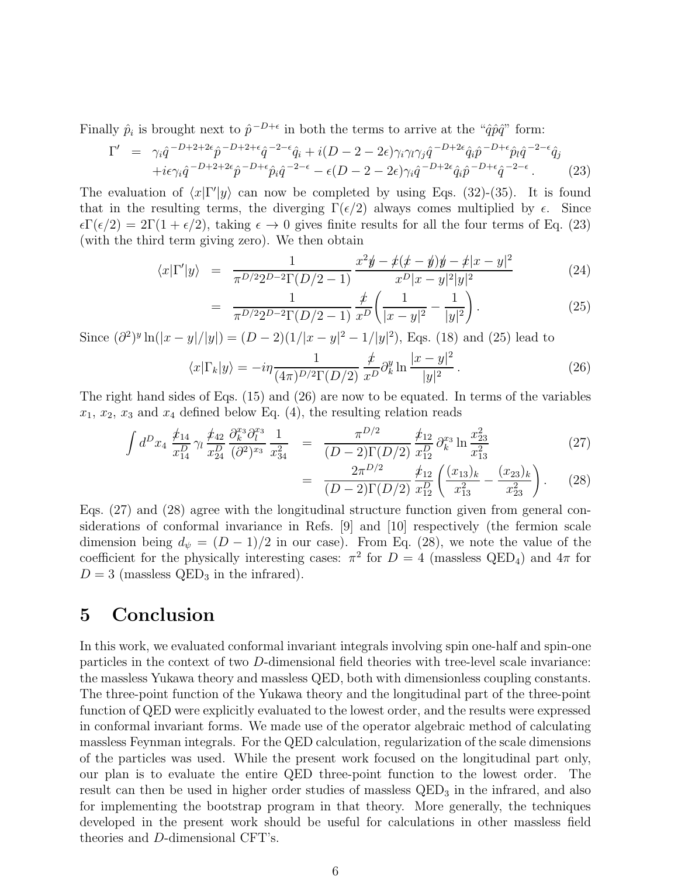Finally  $\hat{p}_i$  is brought next to  $\hat{p}^{-D+\epsilon}$  in both the terms to arrive at the " $\hat{q}\hat{p}\hat{q}$ " form:

$$
\Gamma' = \gamma_i \hat{q}^{-D+2+2\epsilon} \hat{p}^{-D+2+\epsilon} \hat{q}^{-2-\epsilon} \hat{q}_i + i(D-2-2\epsilon) \gamma_i \gamma_l \gamma_j \hat{q}^{-D+2\epsilon} \hat{q}_i \hat{p}^{-D+\epsilon} \hat{p}_l \hat{q}^{-2-\epsilon} \hat{q}_j + i\epsilon \gamma_i \hat{q}^{-D+2+2\epsilon} \hat{p}^{-D+\epsilon} \hat{p}_i \hat{q}^{-2-\epsilon} - \epsilon (D-2-2\epsilon) \gamma_i \hat{q}^{-D+2\epsilon} \hat{q}_i \hat{p}^{-D+\epsilon} \hat{q}^{-2-\epsilon}.
$$
 (23)

The evaluation of  $\langle x|\Gamma'|y\rangle$  can now be completed by using Eqs. (32)-(35). It is found that in the resulting terms, the diverging  $\Gamma(\epsilon/2)$  always comes multiplied by  $\epsilon$ . Since  $\epsilon \Gamma(\epsilon/2) = 2\Gamma(1+\epsilon/2)$ , taking  $\epsilon \to 0$  gives finite results for all the four terms of Eq. (23) (with the third term giving zero). We then obtain

$$
\langle x|\Gamma'|y\rangle = \frac{1}{\pi^{D/2}2^{D-2}\Gamma(D/2-1)} \frac{x^2y - \not x(x-y)y - \not x|x-y|^2}{x^D|x-y|^2|y|^2}
$$
(24)

$$
= \frac{1}{\pi^{D/2} 2^{D-2} \Gamma(D/2 - 1)} \frac{\cancel{x}}{x^D} \left( \frac{1}{|x - y|^2} - \frac{1}{|y|^2} \right). \tag{25}
$$

Since  $(\partial^2)^y \ln(|x-y|/|y|) = (D-2)(1/|x-y|^2-1/|y|^2)$ , Eqs. (18) and (25) lead to

$$
\langle x|\Gamma_k|y\rangle = -i\eta \frac{1}{(4\pi)^{D/2}\Gamma(D/2)} \frac{\rlap{\,/}{x}}{x^D} \partial_k^y \ln \frac{|x-y|^2}{|y|^2} \,. \tag{26}
$$

The right hand sides of Eqs. (15) and (26) are now to be equated. In terms of the variables  $x_1, x_2, x_3$  and  $x_4$  defined below Eq. (4), the resulting relation reads

$$
\int d^D x_4 \frac{\not x_{14}}{x_{14}^D} \gamma_l \frac{\not x_{42}}{x_{24}^D} \frac{\partial_k^{x_3} \partial_l^{x_3}}{\partial_l^{x_3}} \frac{1}{x_{34}^2} = \frac{\pi^{D/2}}{(D-2)\Gamma(D/2)} \frac{\not x_{12}^D}{x_{12}^D} \partial_k^{x_3} \ln \frac{x_{23}^2}{x_{13}^2}
$$
\n(27)

$$
= \frac{2\pi^{D/2}}{(D-2)\Gamma(D/2)} \frac{\not{t}_{12}}{x_{12}^D} \left( \frac{(x_{13})_k}{x_{13}^2} - \frac{(x_{23})_k}{x_{23}^2} \right). \tag{28}
$$

Eqs. (27) and (28) agree with the longitudinal structure function given from general considerations of conformal invariance in Refs. [9] and [10] respectively (the fermion scale dimension being  $d_{\psi} = (D-1)/2$  in our case). From Eq. (28), we note the value of the coefficient for the physically interesting cases:  $\pi^2$  for  $D = 4$  (massless QED<sub>4</sub>) and  $4\pi$  for  $D = 3$  (massless QED<sub>3</sub> in the infrared).

### 5 Conclusion

In this work, we evaluated conformal invariant integrals involving spin one-half and spin-one particles in the context of two D-dimensional field theories with tree-level scale invariance: the massless Yukawa theory and massless QED, both with dimensionless coupling constants. The three-point function of the Yukawa theory and the longitudinal part of the three-point function of QED were explicitly evaluated to the lowest order, and the results were expressed in conformal invariant forms. We made use of the operator algebraic method of calculating massless Feynman integrals. For the QED calculation, regularization of the scale dimensions of the particles was used. While the present work focused on the longitudinal part only, our plan is to evaluate the entire QED three-point function to the lowest order. The result can then be used in higher order studies of massless  $QED<sub>3</sub>$  in the infrared, and also for implementing the bootstrap program in that theory. More generally, the techniques developed in the present work should be useful for calculations in other massless field theories and D-dimensional CFT's.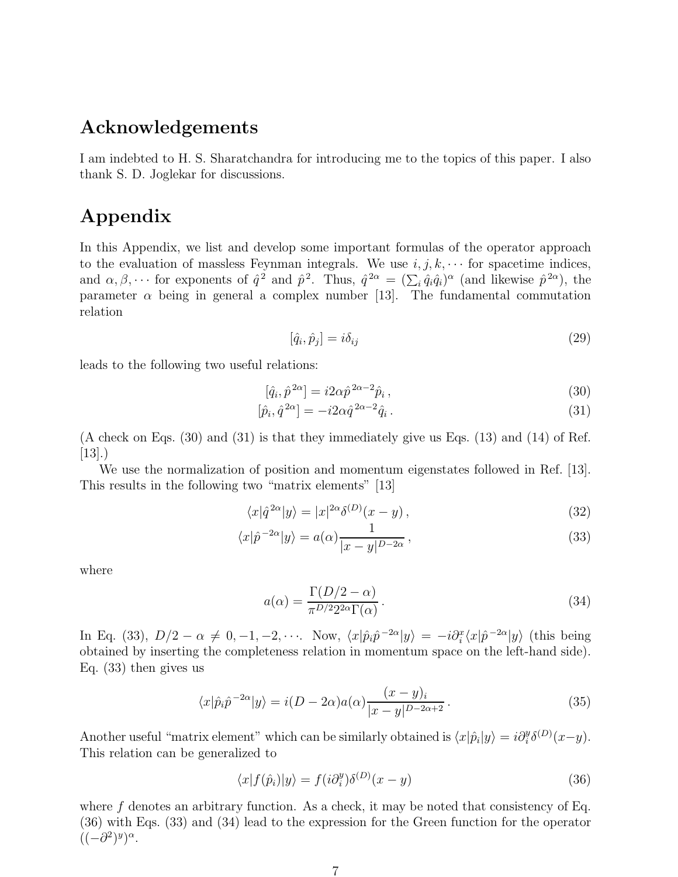#### Acknowledgements

I am indebted to H. S. Sharatchandra for introducing me to the topics of this paper. I also thank S. D. Joglekar for discussions.

# Appendix

In this Appendix, we list and develop some important formulas of the operator approach to the evaluation of massless Feynman integrals. We use  $i, j, k, \cdots$  for spacetime indices, and  $\alpha, \beta, \cdots$  for exponents of  $\hat{q}^2$  and  $\hat{p}^2$ . Thus,  $\hat{q}^{2\alpha} = (\sum_i \hat{q}_i \hat{q}_i)^{\alpha}$  (and likewise  $\hat{p}^{2\alpha}$ ), the parameter  $\alpha$  being in general a complex number [13]. The fundamental commutation relation

$$
[\hat{q}_i, \hat{p}_j] = i\delta_{ij} \tag{29}
$$

leads to the following two useful relations:

$$
[\hat{q}_i, \hat{p}^{2\alpha}] = i2\alpha \hat{p}^{2\alpha - 2}\hat{p}_i ,\qquad(30)
$$

$$
[\hat{p}_i, \hat{q}^{2\alpha}] = -i2\alpha \hat{q}^{2\alpha - 2}\hat{q}_i. \tag{31}
$$

(A check on Eqs. (30) and (31) is that they immediately give us Eqs. (13) and (14) of Ref. [13].)

We use the normalization of position and momentum eigenstates followed in Ref. [13]. This results in the following two "matrix elements" [13]

$$
\langle x|\hat{q}^{2\alpha}|y\rangle = |x|^{2\alpha}\delta^{(D)}(x-y),\tag{32}
$$

$$
\langle x|\hat{p}^{-2\alpha}|y\rangle = a(\alpha)\frac{1}{|x-y|^{D-2\alpha}},\qquad(33)
$$

where

$$
a(\alpha) = \frac{\Gamma(D/2 - \alpha)}{\pi^{D/2} 2^{2\alpha} \Gamma(\alpha)}.
$$
\n(34)

In Eq. (33),  $D/2 - \alpha \neq 0, -1, -2, \cdots$ . Now,  $\langle x | \hat{p}_i \hat{p}^{-2\alpha} | y \rangle = -i \partial_i^x \langle x | \hat{p}^{-2\alpha} | y \rangle$  (this being obtained by inserting the completeness relation in momentum space on the left-hand side). Eq. (33) then gives us

$$
\langle x|\hat{p}_i\hat{p}^{-2\alpha}|y\rangle = i(D - 2\alpha)a(\alpha)\frac{(x - y)_i}{|x - y|^{D - 2\alpha + 2}}.
$$
\n(35)

Another useful "matrix element" which can be similarly obtained is  $\langle x|\hat{p}_i|y\rangle = i\partial_i^y \delta^{(D)}(x-y)$ . This relation can be generalized to

$$
\langle x|f(\hat{p}_i)|y\rangle = f(i\partial_i^y)\delta^{(D)}(x-y)
$$
\n(36)

where  $f$  denotes an arbitrary function. As a check, it may be noted that consistency of Eq. (36) with Eqs. (33) and (34) lead to the expression for the Green function for the operator  $((-\partial^2)^y)^\alpha$ .